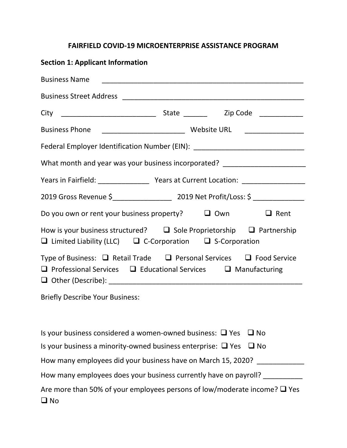## **FAIRFIELD COVID-19 MICROENTERPRISE ASSISTANCE PROGRAM**

| <b>Section 1: Applicant Information</b>                                                                                                                             |  |  |              |
|---------------------------------------------------------------------------------------------------------------------------------------------------------------------|--|--|--------------|
|                                                                                                                                                                     |  |  |              |
|                                                                                                                                                                     |  |  |              |
|                                                                                                                                                                     |  |  |              |
|                                                                                                                                                                     |  |  |              |
| Federal Employer Identification Number (EIN): __________________________________                                                                                    |  |  |              |
| What month and year was your business incorporated? ____________________________                                                                                    |  |  |              |
| Years in Fairfield: ______________________ Years at Current Location: _________________                                                                             |  |  |              |
|                                                                                                                                                                     |  |  |              |
| Do you own or rent your business property? $\Box$ Own $\Box$ Rent                                                                                                   |  |  |              |
| How is your business structured? $\Box$ Sole Proprietorship $\Box$ Partnership<br>$\Box$ Limited Liability (LLC) $\Box$ C-Corporation $\Box$ S-Corporation          |  |  |              |
| Type of Business: $\Box$ Retail Trade $\Box$ Personal Services $\Box$ Food Service<br>$\Box$ Professional Services $\Box$ Educational Services $\Box$ Manufacturing |  |  |              |
| <b>Briefly Describe Your Business:</b>                                                                                                                              |  |  |              |
| Is your business considered a women-owned business: $\Box$ Yes                                                                                                      |  |  | $\square$ No |
| Is your business a minority-owned business enterprise: $\Box$ Yes                                                                                                   |  |  | $\square$ No |
| How many employees did your business have on March 15, 2020? ___________<br>How many employees does your business currently have on payroll?                        |  |  |              |
| Are more than 50% of your employees persons of low/moderate income? $\Box$ Yes                                                                                      |  |  |              |
|                                                                                                                                                                     |  |  |              |

No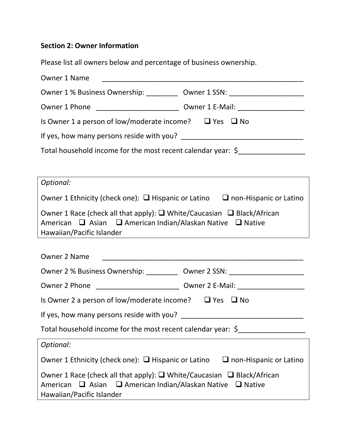## **Section 2: Owner Information**

Please list all owners below and percentage of business ownership.

| Owner 1 Name                                                                           |  |  |  |  |
|----------------------------------------------------------------------------------------|--|--|--|--|
| Owner 1 % Business Ownership: _____________ Owner 1 SSN: _______________________       |  |  |  |  |
| Owner 1 Phone _________________________________ Owner 1 E-Mail: ________________       |  |  |  |  |
| Is Owner 1 a person of low/moderate income? $\Box$ Yes $\Box$ No                       |  |  |  |  |
|                                                                                        |  |  |  |  |
| Total household income for the most recent calendar year: $\oint$                      |  |  |  |  |
|                                                                                        |  |  |  |  |
| Optional:                                                                              |  |  |  |  |
| Owner 1 Ethnicity (check one): $\Box$ Hispanic or Latino $\Box$ non-Hispanic or Latino |  |  |  |  |

|                           |  | Owner 1 Race (check all that apply): $\Box$ White/Caucasian $\Box$ Black/African |  |
|---------------------------|--|----------------------------------------------------------------------------------|--|
|                           |  | American $\Box$ Asian $\Box$ American Indian/Alaskan Native $\Box$ Native        |  |
| Hawaiian/Pacific Islander |  |                                                                                  |  |

| <b>Owner 2 Name</b>                                                                                                                                                         |  |  |  |
|-----------------------------------------------------------------------------------------------------------------------------------------------------------------------------|--|--|--|
| Owner 2 % Business Ownership: ____________ Owner 2 SSN: ________________________                                                                                            |  |  |  |
| Owner 2 Phone ________________________________ Owner 2 E-Mail: _________________                                                                                            |  |  |  |
| Is Owner 2 a person of low/moderate income? $\Box$ Yes $\Box$ No                                                                                                            |  |  |  |
| If yes, how many persons reside with you?                                                                                                                                   |  |  |  |
| Total household income for the most recent calendar year: \$                                                                                                                |  |  |  |
| Optional:                                                                                                                                                                   |  |  |  |
| Owner 1 Ethnicity (check one): $\Box$ Hispanic or Latino $\Box$ non-Hispanic or Latino                                                                                      |  |  |  |
| Owner 1 Race (check all that apply): $\Box$ White/Caucasian $\Box$ Black/African<br>American □ Asian □ American Indian/Alaskan Native □ Native<br>Hawaiian/Pacific Islander |  |  |  |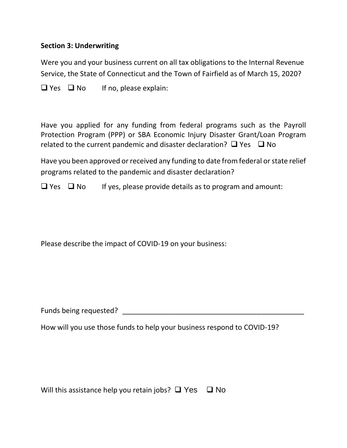## **Section 3: Underwriting**

Were you and your business current on all tax obligations to the Internal Revenue Service, the State of Connecticut and the Town of Fairfield as of March 15, 2020?

 $\Box$  Yes  $\Box$  No If no, please explain:

Have you applied for any funding from federal programs such as the Payroll Protection Program (PPP) or SBA Economic Injury Disaster Grant/Loan Program related to the current pandemic and disaster declaration?  $\Box$  Yes  $\Box$  No

Have you been approved or received any funding to date from federal or state relief programs related to the pandemic and disaster declaration?

 $\Box$  Yes  $\Box$  No If yes, please provide details as to program and amount:

Please describe the impact of COVID-19 on your business:

Funds being requested? **Example 2** and the set of the set of the set of the set of the set of the set of the set of the set of the set of the set of the set of the set of the set of the set of the set of the set of the set

How will you use those funds to help your business respond to COVID-19?

Will this assistance help you retain jobs?  $\Box$  Yes  $\Box$  No